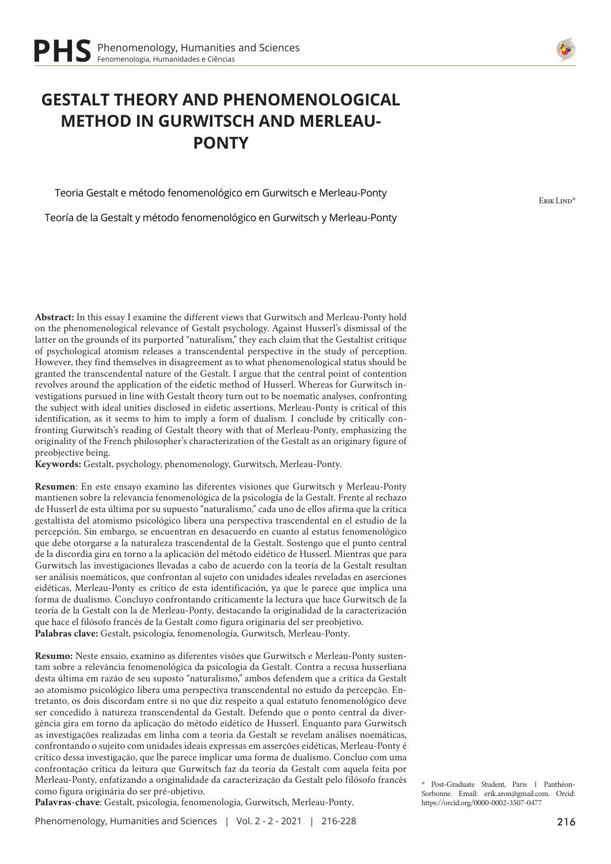# **GESTALT THEORY AND PHENOMENOLOGICAL METHOD IN GURWITSCH AND MERLEAU-PONTY**

Teoria Gestalt e método fenomenológico em Gurwitsch e Merleau-Ponty

Teoría de la Gestalt y método fenomenológico en Gurwitsch y Merleau-Ponty

**Abstract:** In this essay I examine the different views that Gurwitsch and Merleau-Ponty hold on the phenomenological relevance of Gestalt psychology. Against Husserl's dismissal of the latter on the grounds of its purported "naturalism," they each claim that the Gestaltist critique of psychological atomism releases a transcendental perspective in the study of perception. However, they find themselves in disagreement as to what phenomenological status should be granted the transcendental nature of the Gestalt. I argue that the central point of contention revolves around the application of the eidetic method of Husserl. Whereas for Gurwitsch investigations pursued in line with Gestalt theory turn out to be noematic analyses, confronting the subject with ideal unities disclosed in eidetic assertions, Merleau-Ponty is critical of this identification, as it seems to him to imply a form of dualism. I conclude by critically confronting Gurwitsch's reading of Gestalt theory with that of Merleau-Ponty, emphasizing the originality of the French philosopher's characterization of the Gestalt as an originary figure of preobjective being.

**Keywords:** Gestalt, psychology, phenomenology, Gurwitsch, Merleau-Ponty.

**Resumen**: En este ensayo examino las diferentes visiones que Gurwitsch y Merleau-Ponty mantienen sobre la relevancia fenomenológica de la psicología de la Gestalt. Frente al rechazo de Husserl de esta última por su supuesto "naturalismo," cada uno de ellos afirma que la crítica gestaltista del atomismo psicológico libera una perspectiva trascendental en el estudio de la percepción. Sin embargo, se encuentran en desacuerdo en cuanto al estatus fenomenológico que debe otorgarse a la naturaleza trascendental de la Gestalt. Sostengo que el punto central de la discordia gira en torno a la aplicación del método eidético de Husserl. Mientras que para Gurwitsch las investigaciones llevadas a cabo de acuerdo con la teoría de la Gestalt resultan ser análisis noemáticos, que confrontan al sujeto con unidades ideales reveladas en aserciones eidéticas, Merleau-Ponty es crítico de esta identificación, ya que le parece que implica una forma de dualismo. Concluyo confrontando críticamente la lectura que hace Gurwitsch de la teoría de la Gestalt con la de Merleau-Ponty, destacando la originalidad de la caracterización que hace el filósofo francés de la Gestalt como figura originaria del ser preobjetivo. **Palabras clave:** Gestalt, psicología, fenomenología, Gurwitsch, Merleau-Ponty.

**Resumo:** Neste ensaio, examino as diferentes visões que Gurwitsch e Merleau-Ponty sustentam sobre a relevância fenomenológica da psicologia da Gestalt. Contra a recusa husserliana desta última em razão de seu suposto "naturalismo," ambos defendem que a crítica da Gestalt ao atomismo psicológico libera uma perspectiva transcendental no estudo da percepção. Entretanto, os dois discordam entre si no que diz respeito a qual estatuto fenomenológico deve ser concedido à natureza transcendental da Gestalt. Defendo que o ponto central da divergência gira em torno da aplicação do método eidético de Husserl. Enquanto para Gurwitsch as investigações realizadas em linha com a teoria da Gestalt se revelam análises noemáticas, confrontando o sujeito com unidades ideais expressas em asserções eidéticas, Merleau-Ponty é crítico dessa investigação, que lhe parece implicar uma forma de dualismo. Concluo com uma confrontação crítica da leitura que Gurwitsch faz da teoria da Gestalt com aquela feita por Merleau-Ponty, enfatizando a originalidade da caracterização da Gestalt pelo filósofo francês como figura originária do ser pré-objetivo.

**Palavras-chave**: Gestalt, psicologia, fenomenologia, Gurwitsch, Merleau-Ponty.

Phenomenology, Humanities and Sciences | Vol. 2 - 2 - 2021 | 216-228





Erik Lind\*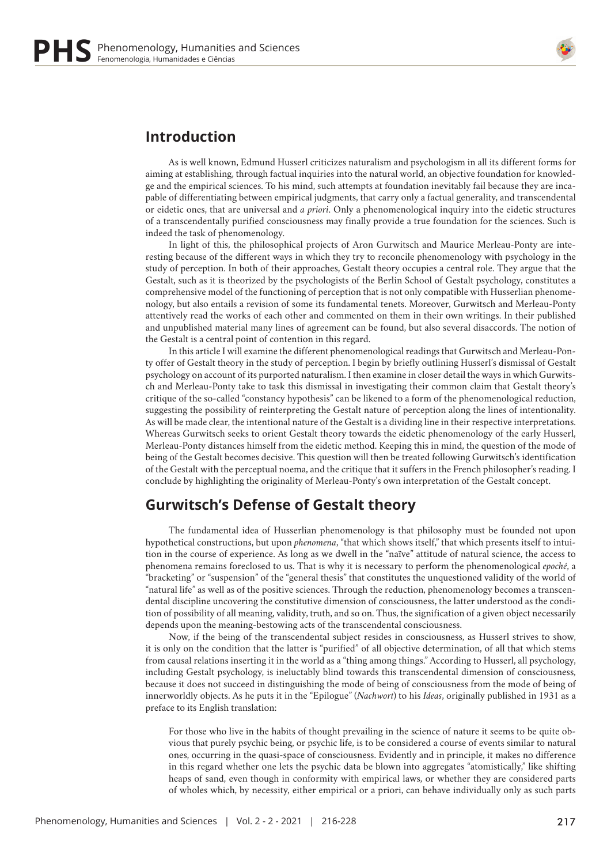

## **Introduction**

As is well known, Edmund Husserl criticizes naturalism and psychologism in all its different forms for aiming at establishing, through factual inquiries into the natural world, an objective foundation for knowledge and the empirical sciences. To his mind, such attempts at foundation inevitably fail because they are incapable of differentiating between empirical judgments, that carry only a factual generality, and transcendental or eidetic ones, that are universal and *a priori*. Only a phenomenological inquiry into the eidetic structures of a transcendentally purified consciousness may finally provide a true foundation for the sciences. Such is indeed the task of phenomenology.

In light of this, the philosophical projects of Aron Gurwitsch and Maurice Merleau-Ponty are interesting because of the different ways in which they try to reconcile phenomenology with psychology in the study of perception. In both of their approaches, Gestalt theory occupies a central role. They argue that the Gestalt, such as it is theorized by the psychologists of the Berlin School of Gestalt psychology, constitutes a comprehensive model of the functioning of perception that is not only compatible with Husserlian phenomenology, but also entails a revision of some its fundamental tenets. Moreover, Gurwitsch and Merleau-Ponty attentively read the works of each other and commented on them in their own writings. In their published and unpublished material many lines of agreement can be found, but also several disaccords. The notion of the Gestalt is a central point of contention in this regard.

In this article I will examine the different phenomenological readings that Gurwitsch and Merleau-Ponty offer of Gestalt theory in the study of perception. I begin by briefly outlining Husserl's dismissal of Gestalt psychology on account of its purported naturalism. I then examine in closer detail the ways in which Gurwitsch and Merleau-Ponty take to task this dismissal in investigating their common claim that Gestalt theory's critique of the so-called "constancy hypothesis" can be likened to a form of the phenomenological reduction, suggesting the possibility of reinterpreting the Gestalt nature of perception along the lines of intentionality. As will be made clear, the intentional nature of the Gestalt is a dividing line in their respective interpretations. Whereas Gurwitsch seeks to orient Gestalt theory towards the eidetic phenomenology of the early Husserl, Merleau-Ponty distances himself from the eidetic method. Keeping this in mind, the question of the mode of being of the Gestalt becomes decisive. This question will then be treated following Gurwitsch's identification of the Gestalt with the perceptual noema, and the critique that it suffers in the French philosopher's reading. I conclude by highlighting the originality of Merleau-Ponty's own interpretation of the Gestalt concept.

### **Gurwitsch's Defense of Gestalt theory**

The fundamental idea of Husserlian phenomenology is that philosophy must be founded not upon hypothetical constructions, but upon *phenomena*, "that which shows itself," that which presents itself to intuition in the course of experience. As long as we dwell in the "naïve" attitude of natural science, the access to phenomena remains foreclosed to us. That is why it is necessary to perform the phenomenological *epoché*, a "bracketing" or "suspension" of the "general thesis" that constitutes the unquestioned validity of the world of "natural life" as well as of the positive sciences. Through the reduction, phenomenology becomes a transcendental discipline uncovering the constitutive dimension of consciousness, the latter understood as the condition of possibility of all meaning, validity, truth, and so on. Thus, the signification of a given object necessarily depends upon the meaning-bestowing acts of the transcendental consciousness.

Now, if the being of the transcendental subject resides in consciousness, as Husserl strives to show, it is only on the condition that the latter is "purified" of all objective determination, of all that which stems from causal relations inserting it in the world as a "thing among things." According to Husserl, all psychology, including Gestalt psychology, is ineluctably blind towards this transcendental dimension of consciousness, because it does not succeed in distinguishing the mode of being of consciousness from the mode of being of innerworldly objects. As he puts it in the "Epilogue" (*Nachwort*) to his *Ideas*, originally published in 1931 as a preface to its English translation:

For those who live in the habits of thought prevailing in the science of nature it seems to be quite obvious that purely psychic being, or psychic life, is to be considered a course of events similar to natural ones, occurring in the quasi-space of consciousness. Evidently and in principle, it makes no difference in this regard whether one lets the psychic data be blown into aggregates "atomistically," like shifting heaps of sand, even though in conformity with empirical laws, or whether they are considered parts of wholes which, by necessity, either empirical or a priori, can behave individually only as such parts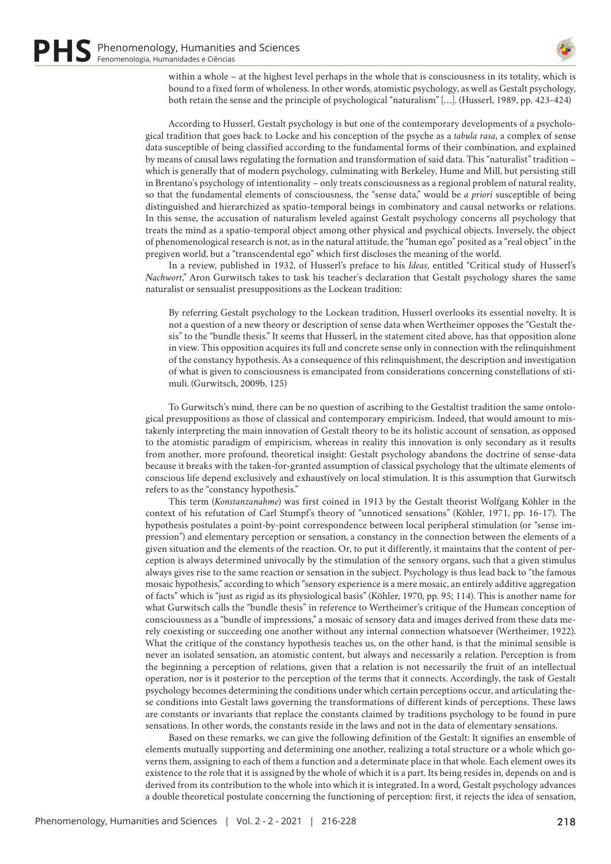

within a whole – at the highest level perhaps in the whole that is consciousness in its totality, which is bound to a fixed form of wholeness. In other words, atomistic psychology, as well as Gestalt psychology, both retain the sense and the principle of psychological "naturalism" […]. (Husserl, 1989, pp. 423-424)

According to Husserl, Gestalt psychology is but one of the contemporary developments of a psychological tradition that goes back to Locke and his conception of the psyche as a *tabula rasa*, a complex of sense data susceptible of being classified according to the fundamental forms of their combination, and explained by means of causal laws regulating the formation and transformation of said data. This "naturalist" tradition – which is generally that of modern psychology, culminating with Berkeley, Hume and Mill, but persisting still in Brentano's psychology of intentionality – only treats consciousness as a regional problem of natural reality, so that the fundamental elements of consciousness, the "sense data," would be *a priori* susceptible of being distinguished and hierarchized as spatio-temporal beings in combinatory and causal networks or relations. In this sense, the accusation of naturalism leveled against Gestalt psychology concerns all psychology that treats the mind as a spatio-temporal object among other physical and psychical objects. Inversely, the object of phenomenological research is not, as in the natural attitude, the "human ego" posited as a "real object" in the pregiven world, but a "transcendental ego" which first discloses the meaning of the world.

In a review, published in 1932, of Husserl's preface to his *Ideas*, entitled "Critical study of Husserl's *Nachwort*," Aron Gurwitsch takes to task his teacher's declaration that Gestalt psychology shares the same naturalist or sensualist presuppositions as the Lockean tradition:

By referring Gestalt psychology to the Lockean tradition, Husserl overlooks its essential novelty. It is not a question of a new theory or description of sense data when Wertheimer opposes the "Gestalt thesis" to the "bundle thesis." It seems that Husserl, in the statement cited above, has that opposition alone in view. This opposition acquires its full and concrete sense only in connection with the relinquishment of the constancy hypothesis. As a consequence of this relinquishment, the description and investigation of what is given to consciousness is emancipated from considerations concerning constellations of stimuli. (Gurwitsch, 2009b, 125)

To Gurwitsch's mind, there can be no question of ascribing to the Gestaltist tradition the same ontological presuppositions as those of classical and contemporary empiricism. Indeed, that would amount to mistakenly interpreting the main innovation of Gestalt theory to be its holistic account of sensation, as opposed to the atomistic paradigm of empiricism, whereas in reality this innovation is only secondary as it results from another, more profound, theoretical insight: Gestalt psychology abandons the doctrine of sense-data because it breaks with the taken-for-granted assumption of classical psychology that the ultimate elements of conscious life depend exclusively and exhaustively on local stimulation. It is this assumption that Gurwitsch refers to as the "constancy hypothesis."

This term (*Konstanzanahme*) was first coined in 1913 by the Gestalt theorist Wolfgang Köhler in the context of his refutation of Carl Stumpf's theory of "unnoticed sensations" (Köhler, 1971, pp. 16-17). The hypothesis postulates a point-by-point correspondence between local peripheral stimulation (or "sense impression") and elementary perception or sensation, a constancy in the connection between the elements of a given situation and the elements of the reaction. Or, to put it differently, it maintains that the content of perception is always determined univocally by the stimulation of the sensory organs, such that a given stimulus always gives rise to the same reaction or sensation in the subject. Psychology is thus lead back to "the famous mosaic hypothesis," according to which "sensory experience is a mere mosaic, an entirely additive aggregation of facts" which is "just as rigid as its physiological basis" (Köhler, 1970, pp. 95; 114). This is another name for what Gurwitsch calls the "bundle thesis" in reference to Wertheimer's critique of the Humean conception of consciousness as a "bundle of impressions," a mosaic of sensory data and images derived from these data merely coexisting or succeeding one another without any internal connection whatsoever (Wertheimer, 1922). What the critique of the constancy hypothesis teaches us, on the other hand, is that the minimal sensible is never an isolated sensation, an atomistic content, but always and necessarily a relation. Perception is from the beginning a perception of relations, given that a relation is not necessarily the fruit of an intellectual operation, nor is it posterior to the perception of the terms that it connects. Accordingly, the task of Gestalt psychology becomes determining the conditions under which certain perceptions occur, and articulating these conditions into Gestalt laws governing the transformations of different kinds of perceptions. These laws are constants or invariants that replace the constants claimed by traditions psychology to be found in pure sensations. In other words, the constants reside in the laws and not in the data of elementary sensations.

Based on these remarks, we can give the following definition of the Gestalt: It signifies an ensemble of elements mutually supporting and determining one another, realizing a total structure or a whole which governs them, assigning to each of them a function and a determinate place in that whole. Each element owes its existence to the role that it is assigned by the whole of which it is a part. Its being resides in, depends on and is derived from its contribution to the whole into which it is integrated. In a word, Gestalt psychology advances a double theoretical postulate concerning the functioning of perception: first, it rejects the idea of sensation,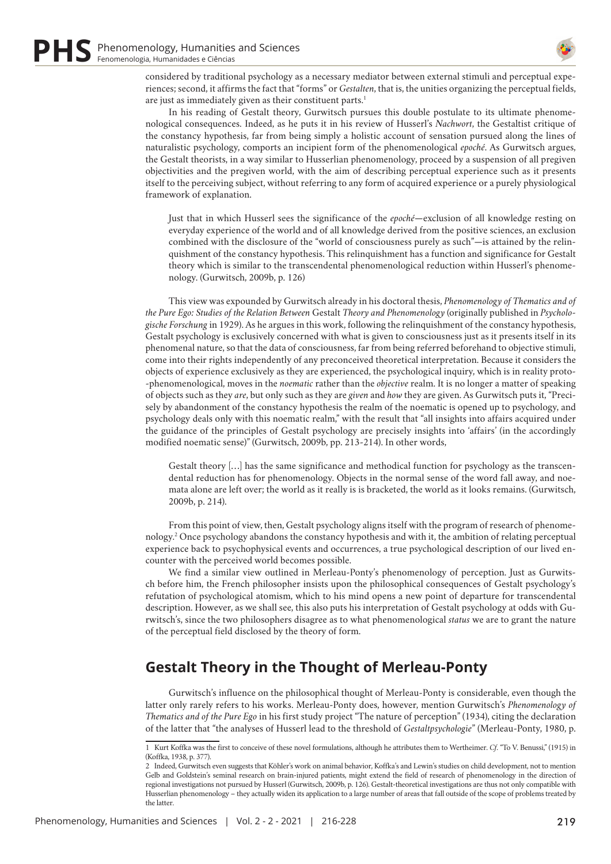

considered by traditional psychology as a necessary mediator between external stimuli and perceptual experiences; second, it affirms the fact that "forms" or *Gestalten*, that is, the unities organizing the perceptual fields, are just as immediately given as their constituent parts.<sup>1</sup>

In his reading of Gestalt theory, Gurwitsch pursues this double postulate to its ultimate phenomenological consequences. Indeed, as he puts it in his review of Husserl's *Nachwort*, the Gestaltist critique of the constancy hypothesis, far from being simply a holistic account of sensation pursued along the lines of naturalistic psychology, comports an incipient form of the phenomenological *epoché*. As Gurwitsch argues, the Gestalt theorists, in a way similar to Husserlian phenomenology, proceed by a suspension of all pregiven objectivities and the pregiven world, with the aim of describing perceptual experience such as it presents itself to the perceiving subject, without referring to any form of acquired experience or a purely physiological framework of explanation.

Just that in which Husserl sees the significance of the *epoché*—exclusion of all knowledge resting on everyday experience of the world and of all knowledge derived from the positive sciences, an exclusion combined with the disclosure of the "world of consciousness purely as such"—is attained by the relinquishment of the constancy hypothesis. This relinquishment has a function and significance for Gestalt theory which is similar to the transcendental phenomenological reduction within Husserl's phenomenology. (Gurwitsch, 2009b, p. 126)

This view was expounded by Gurwitsch already in his doctoral thesis, *Phenomenology of Thematics and of the Pure Ego: Studies of the Relation Between* Gestalt *Theory and Phenomenology* (originally published in *Psychologische Forschung* in 1929). As he argues in this work, following the relinquishment of the constancy hypothesis, Gestalt psychology is exclusively concerned with what is given to consciousness just as it presents itself in its phenomenal nature, so that the data of consciousness, far from being referred beforehand to objective stimuli, come into their rights independently of any preconceived theoretical interpretation. Because it considers the objects of experience exclusively as they are experienced, the psychological inquiry, which is in reality proto- -phenomenological, moves in the *noematic* rather than the *objective* realm. It is no longer a matter of speaking of objects such as they *are*, but only such as they are *given* and *how* they are given. As Gurwitsch puts it, "Precisely by abandonment of the constancy hypothesis the realm of the noematic is opened up to psychology, and psychology deals only with this noematic realm," with the result that "all insights into affairs acquired under the guidance of the principles of Gestalt psychology are precisely insights into 'affairs' (in the accordingly modified noematic sense)" (Gurwitsch, 2009b, pp. 213-214). In other words,

Gestalt theory […] has the same significance and methodical function for psychology as the transcendental reduction has for phenomenology. Objects in the normal sense of the word fall away, and noemata alone are left over; the world as it really is is bracketed, the world as it looks remains. (Gurwitsch, 2009b, p. 214).

From this point of view, then, Gestalt psychology aligns itself with the program of research of phenomenology.2 Once psychology abandons the constancy hypothesis and with it, the ambition of relating perceptual experience back to psychophysical events and occurrences, a true psychological description of our lived encounter with the perceived world becomes possible.

We find a similar view outlined in Merleau-Ponty's phenomenology of perception. Just as Gurwitsch before him, the French philosopher insists upon the philosophical consequences of Gestalt psychology's refutation of psychological atomism, which to his mind opens a new point of departure for transcendental description. However, as we shall see, this also puts his interpretation of Gestalt psychology at odds with Gurwitsch's, since the two philosophers disagree as to what phenomenological *status* we are to grant the nature of the perceptual field disclosed by the theory of form.

# **Gestalt Theory in the Thought of Merleau-Ponty**

Gurwitsch's influence on the philosophical thought of Merleau-Ponty is considerable, even though the latter only rarely refers to his works. Merleau-Ponty does, however, mention Gurwitsch's *Phenomenology of Thematics and of the Pure Ego* in his first study project "The nature of perception" (1934), citing the declaration of the latter that "the analyses of Husserl lead to the threshold of *Gestaltpsychologie*" (Merleau-Ponty, 1980, p.

<sup>1</sup> Kurt Koffka was the first to conceive of these novel formulations, although he attributes them to Wertheimer. *Cf*. "To V. Benussi," (1915) in (Koffka, 1938, p. 377).

<sup>2</sup> Indeed, Gurwitsch even suggests that Köhler's work on animal behavior, Koffka's and Lewin's studies on child development, not to mention Gelb and Goldstein's seminal research on brain-injured patients, might extend the field of research of phenomenology in the direction of regional investigations not pursued by Husserl (Gurwitsch, 2009b, p. 126). Gestalt-theoretical investigations are thus not only compatible with Husserlian phenomenology – they actually widen its application to a large number of areas that fall outside of the scope of problems treated by the latter.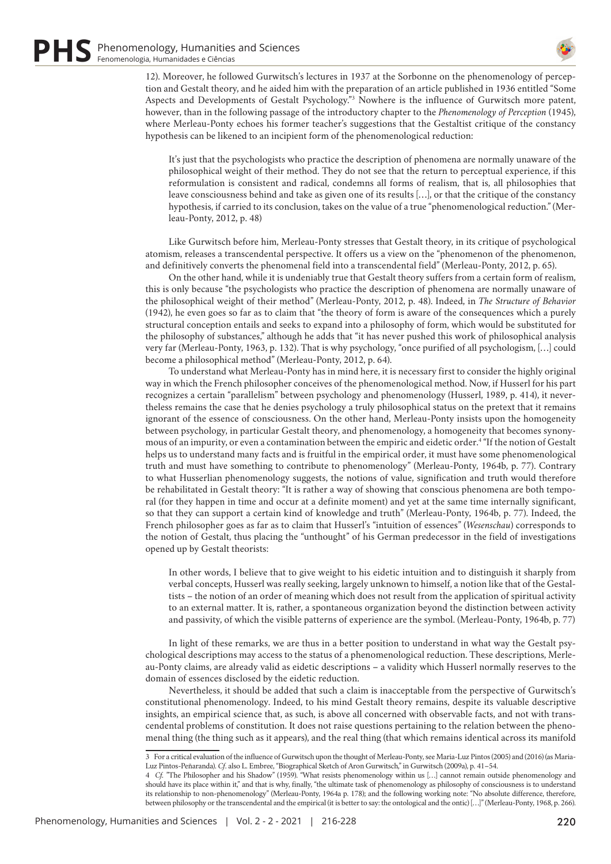

12). Moreover, he followed Gurwitsch's lectures in 1937 at the Sorbonne on the phenomenology of perception and Gestalt theory, and he aided him with the preparation of an article published in 1936 entitled "Some Aspects and Developments of Gestalt Psychology."3 Nowhere is the influence of Gurwitsch more patent, however, than in the following passage of the introductory chapter to the *Phenomenology of Perception* (1945), where Merleau-Ponty echoes his former teacher's suggestions that the Gestaltist critique of the constancy hypothesis can be likened to an incipient form of the phenomenological reduction:

It's just that the psychologists who practice the description of phenomena are normally unaware of the philosophical weight of their method. They do not see that the return to perceptual experience, if this reformulation is consistent and radical, condemns all forms of realism, that is, all philosophies that leave consciousness behind and take as given one of its results […], or that the critique of the constancy hypothesis, if carried to its conclusion, takes on the value of a true "phenomenological reduction." (Merleau-Ponty, 2012, p. 48)

Like Gurwitsch before him, Merleau-Ponty stresses that Gestalt theory, in its critique of psychological atomism, releases a transcendental perspective. It offers us a view on the "phenomenon of the phenomenon, and definitively converts the phenomenal field into a transcendental field" (Merleau-Ponty, 2012, p. 65).

On the other hand, while it is undeniably true that Gestalt theory suffers from a certain form of realism, this is only because "the psychologists who practice the description of phenomena are normally unaware of the philosophical weight of their method" (Merleau-Ponty, 2012, p. 48). Indeed, in *The Structure of Behavior* (1942), he even goes so far as to claim that "the theory of form is aware of the consequences which a purely structural conception entails and seeks to expand into a philosophy of form, which would be substituted for the philosophy of substances," although he adds that "it has never pushed this work of philosophical analysis very far (Merleau-Ponty, 1963, p. 132). That is why psychology, "once purified of all psychologism, […] could become a philosophical method" (Merleau-Ponty, 2012, p. 64).

To understand what Merleau-Ponty has in mind here, it is necessary first to consider the highly original way in which the French philosopher conceives of the phenomenological method. Now, if Husserl for his part recognizes a certain "parallelism" between psychology and phenomenology (Husserl, 1989, p. 414), it nevertheless remains the case that he denies psychology a truly philosophical status on the pretext that it remains ignorant of the essence of consciousness. On the other hand, Merleau-Ponty insists upon the homogeneity between psychology, in particular Gestalt theory, and phenomenology, a homogeneity that becomes synonymous of an impurity, or even a contamination between the empiric and eidetic order.<sup>4</sup> "If the notion of Gestalt helps us to understand many facts and is fruitful in the empirical order, it must have some phenomenological truth and must have something to contribute to phenomenology" (Merleau-Ponty, 1964b, p. 77). Contrary to what Husserlian phenomenology suggests, the notions of value, signification and truth would therefore be rehabilitated in Gestalt theory: "It is rather a way of showing that conscious phenomena are both temporal (for they happen in time and occur at a definite moment) and yet at the same time internally significant, so that they can support a certain kind of knowledge and truth" (Merleau-Ponty, 1964b, p. 77). Indeed, the French philosopher goes as far as to claim that Husserl's "intuition of essences" (*Wesenschau*) corresponds to the notion of Gestalt, thus placing the "unthought" of his German predecessor in the field of investigations opened up by Gestalt theorists:

In other words, I believe that to give weight to his eidetic intuition and to distinguish it sharply from verbal concepts, Husserl was really seeking, largely unknown to himself, a notion like that of the Gestaltists – the notion of an order of meaning which does not result from the application of spiritual activity to an external matter. It is, rather, a spontaneous organization beyond the distinction between activity and passivity, of which the visible patterns of experience are the symbol. (Merleau-Ponty, 1964b, p. 77)

In light of these remarks, we are thus in a better position to understand in what way the Gestalt psychological descriptions may access to the status of a phenomenological reduction. These descriptions, Merleau-Ponty claims, are already valid as eidetic descriptions – a validity which Husserl normally reserves to the domain of essences disclosed by the eidetic reduction.

Nevertheless, it should be added that such a claim is inacceptable from the perspective of Gurwitsch's constitutional phenomenology. Indeed, to his mind Gestalt theory remains, despite its valuable descriptive insights, an empirical science that, as such, is above all concerned with observable facts, and not with transcendental problems of constitution. It does not raise questions pertaining to the relation between the phenomenal thing (the thing such as it appears), and the real thing (that which remains identical across its manifold

<sup>3</sup> For a critical evaluation of the influence of Gurwitsch upon the thought of Merleau-Ponty, see Maria-Luz Pintos (2005) and (2016) (as Maria-Luz Pintos-Peñaranda). *Cf*. also L. Embree, "Biographical Sketch of Aron Gurwitsch," in Gurwitsch (2009a), p. 41–54.

<sup>4</sup> *Cf.* "The Philosopher and his Shadow" (1959). "What resists phenomenology within us […] cannot remain outside phenomenology and should have its place within it," and that is why, finally, "the ultimate task of phenomenology as philosophy of consciousness is to understand its relationship to non-phenomenology" (Merleau-Ponty, 1964a p. 178); and the following working note: "No absolute difference, therefore, between philosophy or the transcendental and the empirical (it is better to say: the ontological and the ontic) […]" (Merleau-Ponty, 1968, p. 266).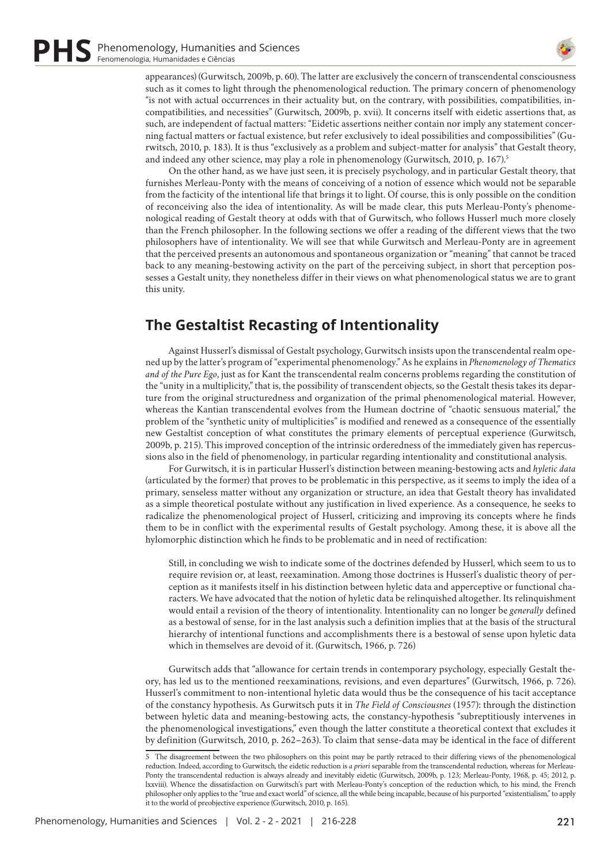

appearances) (Gurwitsch, 2009b, p. 60). The latter are exclusively the concern of transcendental consciousness such as it comes to light through the phenomenological reduction. The primary concern of phenomenology "is not with actual occurrences in their actuality but, on the contrary, with possibilities, compatibilities, incompatibilities, and necessities" (Gurwitsch, 2009b, p. xvii). It concerns itself with eidetic assertions that, as such, are independent of factual matters: "Eidetic assertions neither contain nor imply any statement concerning factual matters or factual existence, but refer exclusively to ideal possibilities and compossibilities" (Gurwitsch, 2010, p. 183). It is thus "exclusively as a problem and subject-matter for analysis" that Gestalt theory, and indeed any other science, may play a role in phenomenology (Gurwitsch, 2010, p. 167).5

On the other hand, as we have just seen, it is precisely psychology, and in particular Gestalt theory, that furnishes Merleau-Ponty with the means of conceiving of a notion of essence which would not be separable from the facticity of the intentional life that brings it to light. Of course, this is only possible on the condition of reconceiving also the idea of intentionality. As will be made clear, this puts Merleau-Ponty's phenomenological reading of Gestalt theory at odds with that of Gurwitsch, who follows Husserl much more closely than the French philosopher. In the following sections we offer a reading of the different views that the two philosophers have of intentionality. We will see that while Gurwitsch and Merleau-Ponty are in agreement that the perceived presents an autonomous and spontaneous organization or "meaning" that cannot be traced back to any meaning-bestowing activity on the part of the perceiving subject, in short that perception possesses a Gestalt unity, they nonetheless differ in their views on what phenomenological status we are to grant this unity.

# **The Gestaltist Recasting of Intentionality**

Against Husserl's dismissal of Gestalt psychology, Gurwitsch insists upon the transcendental realm opened up by the latter's program of "experimental phenomenology." As he explains in *Phenomenology of Thematics and of the Pure Ego*, just as for Kant the transcendental realm concerns problems regarding the constitution of the "unity in a multiplicity," that is, the possibility of transcendent objects, so the Gestalt thesis takes its departure from the original structuredness and organization of the primal phenomenological material. However, whereas the Kantian transcendental evolves from the Humean doctrine of "chaotic sensuous material," the problem of the "synthetic unity of multiplicities" is modified and renewed as a consequence of the essentially new Gestaltist conception of what constitutes the primary elements of perceptual experience (Gurwitsch, 2009b, p. 215). This improved conception of the intrinsic orderedness of the immediately given has repercussions also in the field of phenomenology, in particular regarding intentionality and constitutional analysis.

For Gurwitsch, it is in particular Husserl's distinction between meaning-bestowing acts and *hyletic data* (articulated by the former) that proves to be problematic in this perspective, as it seems to imply the idea of a primary, senseless matter without any organization or structure, an idea that Gestalt theory has invalidated as a simple theoretical postulate without any justification in lived experience. As a consequence, he seeks to radicalize the phenomenological project of Husserl, criticizing and improving its concepts where he finds them to be in conflict with the experimental results of Gestalt psychology. Among these, it is above all the hylomorphic distinction which he finds to be problematic and in need of rectification:

Still, in concluding we wish to indicate some of the doctrines defended by Husserl, which seem to us to require revision or, at least, reexamination. Among those doctrines is Husserl's dualistic theory of perception as it manifests itself in his distinction between hyletic data and apperceptive or functional characters. We have advocated that the notion of hyletic data be relinquished altogether. Its relinquishment would entail a revision of the theory of intentionality. Intentionality can no longer be *generally* defined as a bestowal of sense, for in the last analysis such a definition implies that at the basis of the structural hierarchy of intentional functions and accomplishments there is a bestowal of sense upon hyletic data which in themselves are devoid of it. (Gurwitsch, 1966, p. 726)

Gurwitsch adds that "allowance for certain trends in contemporary psychology, especially Gestalt theory, has led us to the mentioned reexaminations, revisions, and even departures" (Gurwitsch, 1966, p. 726). Husserl's commitment to non-intentional hyletic data would thus be the consequence of his tacit acceptance of the constancy hypothesis. As Gurwitsch puts it in *The Field of Consciousnes* (1957): through the distinction between hyletic data and meaning-bestowing acts, the constancy-hypothesis "subreptitiously intervenes in the phenomenological investigations," even though the latter constitute a theoretical context that excludes it by definition (Gurwitsch, 2010, p. 262–263). To claim that sense-data may be identical in the face of different

<sup>5</sup> The disagreement between the two philosophers on this point may be partly retraced to their differing views of the phenomenological reduction. Indeed, according to Gurwitsch, the eidetic reduction is *a priori* separable from the transcendental reduction, whereas for Merleau-Ponty the transcendental reduction is always already and inevitably eidetic (Gurwitsch, 2009b, p. 123; Merleau-Ponty, 1968, p. 45; 2012, p. lxxviii). Whence the dissatisfaction on Gurwitsch's part with Merleau-Ponty's conception of the reduction which, to his mind, the French philosopher only applies to the "true and exact world" of science, all the while being incapable, because of his purported "existentialism," to apply it to the world of preobjective experience (Gurwitsch, 2010, p. 165).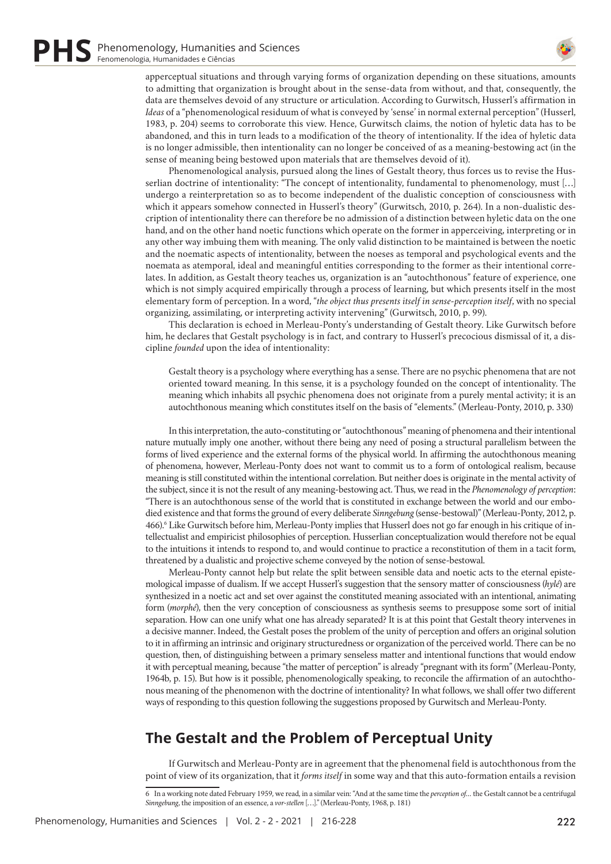

apperceptual situations and through varying forms of organization depending on these situations, amounts to admitting that organization is brought about in the sense-data from without, and that, consequently, the data are themselves devoid of any structure or articulation. According to Gurwitsch, Husserl's affirmation in *Ideas* of a "phenomenological residuum of what is conveyed by 'sense' in normal external perception" (Husserl, 1983, p. 204) seems to corroborate this view. Hence, Gurwitsch claims, the notion of hyletic data has to be abandoned, and this in turn leads to a modification of the theory of intentionality. If the idea of hyletic data is no longer admissible, then intentionality can no longer be conceived of as a meaning-bestowing act (in the sense of meaning being bestowed upon materials that are themselves devoid of it).

Phenomenological analysis, pursued along the lines of Gestalt theory, thus forces us to revise the Husserlian doctrine of intentionality: "The concept of intentionality, fundamental to phenomenology, must […] undergo a reinterpretation so as to become independent of the dualistic conception of consciousness with which it appears somehow connected in Husserl's theory" (Gurwitsch, 2010, p. 264). In a non-dualistic description of intentionality there can therefore be no admission of a distinction between hyletic data on the one hand, and on the other hand noetic functions which operate on the former in apperceiving, interpreting or in any other way imbuing them with meaning. The only valid distinction to be maintained is between the noetic and the noematic aspects of intentionality, between the noeses as temporal and psychological events and the noemata as atemporal, ideal and meaningful entities corresponding to the former as their intentional correlates. In addition, as Gestalt theory teaches us, organization is an "autochthonous" feature of experience, one which is not simply acquired empirically through a process of learning, but which presents itself in the most elementary form of perception. In a word, "*the object thus presents itself in sense-perception itself*, with no special organizing, assimilating, or interpreting activity intervening" (Gurwitsch, 2010, p. 99).

This declaration is echoed in Merleau-Ponty's understanding of Gestalt theory. Like Gurwitsch before him, he declares that Gestalt psychology is in fact, and contrary to Husserl's precocious dismissal of it, a discipline *founded* upon the idea of intentionality:

Gestalt theory is a psychology where everything has a sense. There are no psychic phenomena that are not oriented toward meaning. In this sense, it is a psychology founded on the concept of intentionality. The meaning which inhabits all psychic phenomena does not originate from a purely mental activity; it is an autochthonous meaning which constitutes itself on the basis of "elements." (Merleau-Ponty, 2010, p. 330)

In this interpretation, the auto-constituting or "autochthonous" meaning of phenomena and their intentional nature mutually imply one another, without there being any need of posing a structural parallelism between the forms of lived experience and the external forms of the physical world. In affirming the autochthonous meaning of phenomena, however, Merleau-Ponty does not want to commit us to a form of ontological realism, because meaning is still constituted within the intentional correlation. But neither does is originate in the mental activity of the subject, since it is not the result of any meaning-bestowing act. Thus, we read in the *Phenomenology of perception*: "There is an autochthonous sense of the world that is constituted in exchange between the world and our embodied existence and that forms the ground of every deliberate *Sinngebung* (sense-bestowal)" (Merleau-Ponty, 2012, p. 466).<sup>6</sup> Like Gurwitsch before him, Merleau-Ponty implies that Husserl does not go far enough in his critique of intellectualist and empiricist philosophies of perception. Husserlian conceptualization would therefore not be equal to the intuitions it intends to respond to, and would continue to practice a reconstitution of them in a tacit form, threatened by a dualistic and projective scheme conveyed by the notion of sense-bestowal.

Merleau-Ponty cannot help but relate the split between sensible data and noetic acts to the eternal epistemological impasse of dualism. If we accept Husserl's suggestion that the sensory matter of consciousness (*hylé*) are synthesized in a noetic act and set over against the constituted meaning associated with an intentional, animating form (*morphé*), then the very conception of consciousness as synthesis seems to presuppose some sort of initial separation. How can one unify what one has already separated? It is at this point that Gestalt theory intervenes in a decisive manner. Indeed, the Gestalt poses the problem of the unity of perception and offers an original solution to it in affirming an intrinsic and originary structuredness or organization of the perceived world. There can be no question, then, of distinguishing between a primary senseless matter and intentional functions that would endow it with perceptual meaning, because "the matter of perception" is already "pregnant with its form" (Merleau-Ponty, 1964b, p. 15). But how is it possible, phenomenologically speaking, to reconcile the affirmation of an autochthonous meaning of the phenomenon with the doctrine of intentionality? In what follows, we shall offer two different ways of responding to this question following the suggestions proposed by Gurwitsch and Merleau-Ponty.

# **The Gestalt and the Problem of Perceptual Unity**

If Gurwitsch and Merleau-Ponty are in agreement that the phenomenal field is autochthonous from the point of view of its organization, that it *forms itself* in some way and that this auto-formation entails a revision

6 In a working note dated February 1959, we read, in a similar vein: "And at the same time the *perception of…* the Gestalt cannot be a centrifugal *Sinngebung*, the imposition of an essence, a *vor-stellen* […]." (Merleau-Ponty, 1968, p. 181)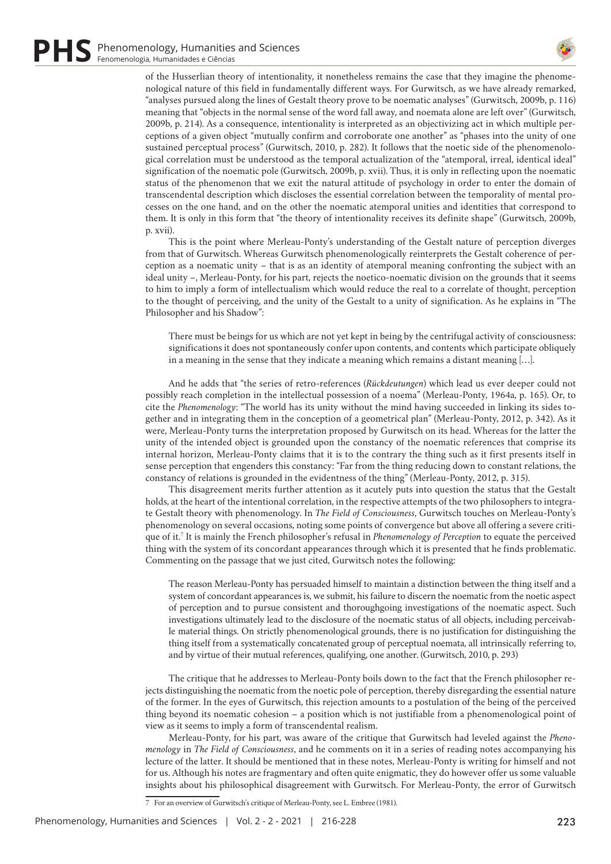

of the Husserlian theory of intentionality, it nonetheless remains the case that they imagine the phenomenological nature of this field in fundamentally different ways. For Gurwitsch, as we have already remarked, "analyses pursued along the lines of Gestalt theory prove to be noematic analyses" (Gurwitsch, 2009b, p. 116) meaning that "objects in the normal sense of the word fall away, and noemata alone are left over" (Gurwitsch, 2009b, p. 214). As a consequence, intentionality is interpreted as an objectivizing act in which multiple perceptions of a given object "mutually confirm and corroborate one another" as "phases into the unity of one sustained perceptual process" (Gurwitsch, 2010, p. 282). It follows that the noetic side of the phenomenological correlation must be understood as the temporal actualization of the "atemporal, irreal, identical ideal" signification of the noematic pole (Gurwitsch, 2009b, p. xvii). Thus, it is only in reflecting upon the noematic status of the phenomenon that we exit the natural attitude of psychology in order to enter the domain of transcendental description which discloses the essential correlation between the temporality of mental processes on the one hand, and on the other the noematic atemporal unities and identities that correspond to them. It is only in this form that "the theory of intentionality receives its definite shape" (Gurwitsch, 2009b, p. xvii).

This is the point where Merleau-Ponty's understanding of the Gestalt nature of perception diverges from that of Gurwitsch. Whereas Gurwitsch phenomenologically reinterprets the Gestalt coherence of perception as a noematic unity – that is as an identity of atemporal meaning confronting the subject with an ideal unity –, Merleau-Ponty, for his part, rejects the noetico-noematic division on the grounds that it seems to him to imply a form of intellectualism which would reduce the real to a correlate of thought, perception to the thought of perceiving, and the unity of the Gestalt to a unity of signification. As he explains in "The Philosopher and his Shadow":

There must be beings for us which are not yet kept in being by the centrifugal activity of consciousness: significations it does not spontaneously confer upon contents, and contents which participate obliquely in a meaning in the sense that they indicate a meaning which remains a distant meaning […].

And he adds that "the series of retro-references (*Rückdeutungen*) which lead us ever deeper could not possibly reach completion in the intellectual possession of a noema" (Merleau-Ponty, 1964a, p. 165). Or, to cite the *Phenomenology*: "The world has its unity without the mind having succeeded in linking its sides together and in integrating them in the conception of a geometrical plan" (Merleau-Ponty, 2012, p. 342). As it were, Merleau-Ponty turns the interpretation proposed by Gurwitsch on its head. Whereas for the latter the unity of the intended object is grounded upon the constancy of the noematic references that comprise its internal horizon, Merleau-Ponty claims that it is to the contrary the thing such as it first presents itself in sense perception that engenders this constancy: "Far from the thing reducing down to constant relations, the constancy of relations is grounded in the evidentness of the thing" (Merleau-Ponty, 2012, p. 315).

This disagreement merits further attention as it acutely puts into question the status that the Gestalt holds, at the heart of the intentional correlation, in the respective attempts of the two philosophers to integrate Gestalt theory with phenomenology. In *The Field of Consciousness*, Gurwitsch touches on Merleau-Ponty's phenomenology on several occasions, noting some points of convergence but above all offering a severe critique of it.7 It is mainly the French philosopher's refusal in *Phenomenology of Perception* to equate the perceived thing with the system of its concordant appearances through which it is presented that he finds problematic. Commenting on the passage that we just cited, Gurwitsch notes the following:

The reason Merleau-Ponty has persuaded himself to maintain a distinction between the thing itself and a system of concordant appearances is, we submit, his failure to discern the noematic from the noetic aspect of perception and to pursue consistent and thoroughgoing investigations of the noematic aspect. Such investigations ultimately lead to the disclosure of the noematic status of all objects, including perceivable material things. On strictly phenomenological grounds, there is no justification for distinguishing the thing itself from a systematically concatenated group of perceptual noemata, all intrinsically referring to, and by virtue of their mutual references, qualifying, one another. (Gurwitsch, 2010, p. 293)

The critique that he addresses to Merleau-Ponty boils down to the fact that the French philosopher rejects distinguishing the noematic from the noetic pole of perception, thereby disregarding the essential nature of the former. In the eyes of Gurwitsch, this rejection amounts to a postulation of the being of the perceived thing beyond its noematic cohesion – a position which is not justifiable from a phenomenological point of view as it seems to imply a form of transcendental realism.

Merleau-Ponty, for his part, was aware of the critique that Gurwitsch had leveled against the *Phenomenology* in *The Field of Consciousness*, and he comments on it in a series of reading notes accompanying his lecture of the latter. It should be mentioned that in these notes, Merleau-Ponty is writing for himself and not for us. Although his notes are fragmentary and often quite enigmatic, they do however offer us some valuable insights about his philosophical disagreement with Gurwitsch. For Merleau-Ponty, the error of Gurwitsch

<sup>7</sup> For an overview of Gurwitsch's critique of Merleau-Ponty, see L. Embree (1981).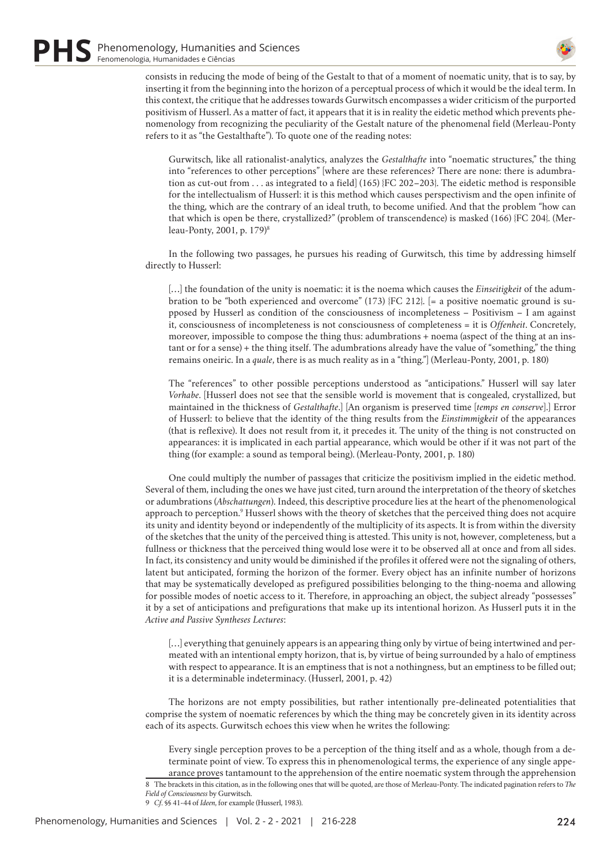

consists in reducing the mode of being of the Gestalt to that of a moment of noematic unity, that is to say, by inserting it from the beginning into the horizon of a perceptual process of which it would be the ideal term. In this context, the critique that he addresses towards Gurwitsch encompasses a wider criticism of the purported positivism of Husserl. As a matter of fact, it appears that it is in reality the eidetic method which prevents phenomenology from recognizing the peculiarity of the Gestalt nature of the phenomenal field (Merleau-Ponty refers to it as "the Gestalthafte"). To quote one of the reading notes:

Gurwitsch, like all rationalist-analytics, analyzes the *Gestalthafte* into "noematic structures," the thing into "references to other perceptions" [where are these references? There are none: there is adumbration as cut-out from . . . as integrated to a field] (165) {FC 202–203}. The eidetic method is responsible for the intellectualism of Husserl: it is this method which causes perspectivism and the open infinite of the thing, which are the contrary of an ideal truth, to become unified. And that the problem "how can that which is open be there, crystallized?" (problem of transcendence) is masked (166) {FC 204}. (Merleau-Ponty, 2001, p. 179)8

In the following two passages, he pursues his reading of Gurwitsch, this time by addressing himself directly to Husserl:

[…] the foundation of the unity is noematic: it is the noema which causes the *Einseitigkeit* of the adumbration to be "both experienced and overcome" (173) {FC 212}.  $[= a$  positive noematic ground is supposed by Husserl as condition of the consciousness of incompleteness – Positivism – I am against it, consciousness of incompleteness is not consciousness of completeness = it is *Offenheit*. Concretely, moreover, impossible to compose the thing thus: adumbrations + noema (aspect of the thing at an instant or for a sense) + the thing itself. The adumbrations already have the value of "something," the thing remains oneiric. In a *quale*, there is as much reality as in a "thing."] (Merleau-Ponty, 2001, p. 180)

The "references" to other possible perceptions understood as "anticipations." Husserl will say later *Vorhabe*. [Husserl does not see that the sensible world is movement that is congealed, crystallized, but maintained in the thickness of *Gestalthafte*.] [An organism is preserved time [*temps en conserve*].] Error of Husserl: to believe that the identity of the thing results from the *Einstimmigkeit* of the appearances (that is reflexive). It does not result from it, it precedes it. The unity of the thing is not constructed on appearances: it is implicated in each partial appearance, which would be other if it was not part of the thing (for example: a sound as temporal being). (Merleau-Ponty, 2001, p. 180)

One could multiply the number of passages that criticize the positivism implied in the eidetic method. Several of them, including the ones we have just cited, turn around the interpretation of the theory of sketches or adumbrations (*Abschattungen*). Indeed, this descriptive procedure lies at the heart of the phenomenological approach to perception.<sup>9</sup> Husserl shows with the theory of sketches that the perceived thing does not acquire its unity and identity beyond or independently of the multiplicity of its aspects. It is from within the diversity of the sketches that the unity of the perceived thing is attested. This unity is not, however, completeness, but a fullness or thickness that the perceived thing would lose were it to be observed all at once and from all sides. In fact, its consistency and unity would be diminished if the profiles it offered were not the signaling of others, latent but anticipated, forming the horizon of the former. Every object has an infinite number of horizons that may be systematically developed as prefigured possibilities belonging to the thing-noema and allowing for possible modes of noetic access to it. Therefore, in approaching an object, the subject already "possesses" it by a set of anticipations and prefigurations that make up its intentional horizon. As Husserl puts it in the *Active and Passive Syntheses Lectures*:

[…] everything that genuinely appears is an appearing thing only by virtue of being intertwined and permeated with an intentional empty horizon, that is, by virtue of being surrounded by a halo of emptiness with respect to appearance. It is an emptiness that is not a nothingness, but an emptiness to be filled out; it is a determinable indeterminacy. (Husserl, 2001, p. 42)

The horizons are not empty possibilities, but rather intentionally pre-delineated potentialities that comprise the system of noematic references by which the thing may be concretely given in its identity across each of its aspects. Gurwitsch echoes this view when he writes the following:

Every single perception proves to be a perception of the thing itself and as a whole, though from a determinate point of view. To express this in phenomenological terms, the experience of any single appearance proves tantamount to the apprehension of the entire noematic system through the apprehension 8 The brackets in this citation, as in the following ones that will be quoted, are those of Merleau-Ponty. The indicated pagination refers to *The Field of Consciousness* by Gurwitsch.

9 *Cf*. §§ 41-44 of *Ideen*, for example (Husserl, 1983).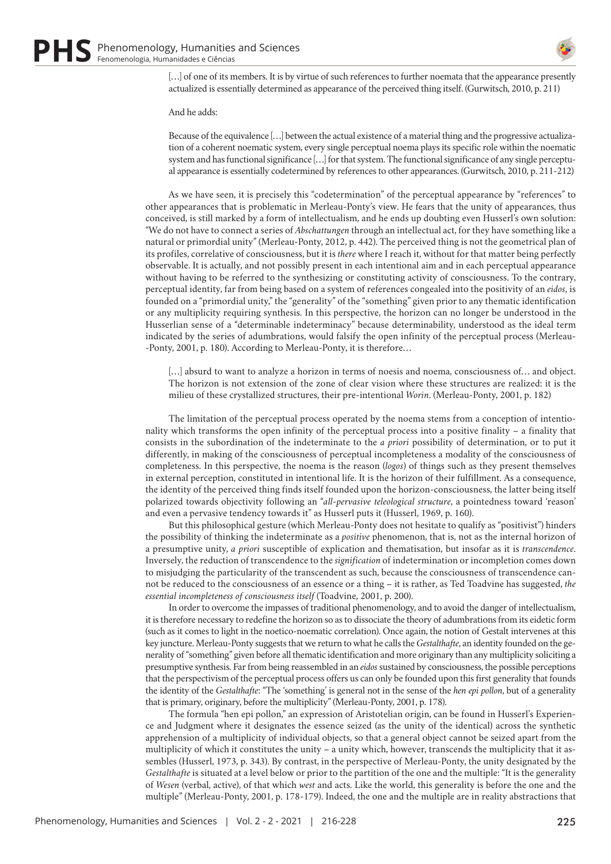

[...] of one of its members. It is by virtue of such references to further noemata that the appearance presently actualized is essentially determined as appearance of the perceived thing itself. (Gurwitsch, 2010, p. 211)

#### And he adds:

Because of the equivalence […] between the actual existence of a material thing and the progressive actualization of a coherent noematic system, every single perceptual noema plays its specific role within the noematic system and has functional significance […] for that system. The functional significance of any single perceptual appearance is essentially codetermined by references to other appearances. (Gurwitsch, 2010, p. 211-212)

As we have seen, it is precisely this "codetermination" of the perceptual appearance by "references" to other appearances that is problematic in Merleau-Ponty's view. He fears that the unity of appearances, thus conceived, is still marked by a form of intellectualism, and he ends up doubting even Husserl's own solution: "We do not have to connect a series of *Abschattungen* through an intellectual act, for they have something like a natural or primordial unity" (Merleau-Ponty, 2012, p. 442). The perceived thing is not the geometrical plan of its profiles, correlative of consciousness, but it is *there* where I reach it, without for that matter being perfectly observable. It is actually, and not possibly present in each intentional aim and in each perceptual appearance without having to be referred to the synthesizing or constituting activity of consciousness. To the contrary, perceptual identity, far from being based on a system of references congealed into the positivity of an *eidos*, is founded on a "primordial unity," the "generality" of the "something" given prior to any thematic identification or any multiplicity requiring synthesis. In this perspective, the horizon can no longer be understood in the Husserlian sense of a "determinable indeterminacy" because determinability, understood as the ideal term indicated by the series of adumbrations, would falsify the open infinity of the perceptual process (Merleau- -Ponty, 2001, p. 180). According to Merleau-Ponty, it is therefore…

[...] absurd to want to analyze a horizon in terms of noesis and noema, consciousness of... and object. The horizon is not extension of the zone of clear vision where these structures are realized: it is the milieu of these crystallized structures, their pre-intentional *Worin*. (Merleau-Ponty, 2001, p. 182)

The limitation of the perceptual process operated by the noema stems from a conception of intentionality which transforms the open infinity of the perceptual process into a positive finality – a finality that consists in the subordination of the indeterminate to the *a priori* possibility of determination, or to put it differently, in making of the consciousness of perceptual incompleteness a modality of the consciousness of completeness. In this perspective, the noema is the reason (*logos*) of things such as they present themselves in external perception, constituted in intentional life. It is the horizon of their fulfillment. As a consequence, the identity of the perceived thing finds itself founded upon the horizon-consciousness, the latter being itself polarized towards objectivity following an "*all-pervasive teleological structure*, a pointedness toward 'reason' and even a pervasive tendency towards it" as Husserl puts it (Husserl, 1969, p. 160).

But this philosophical gesture (which Merleau-Ponty does not hesitate to qualify as "positivist") hinders the possibility of thinking the indeterminate as a *positive* phenomenon, that is, not as the internal horizon of a presumptive unity, *a priori* susceptible of explication and thematisation, but insofar as it is *transcendence*. Inversely, the reduction of transcendence to the *signification* of indetermination or incompletion comes down to misjudging the particularity of the transcendent as such, because the consciousness of transcendence cannot be reduced to the consciousness of an essence or a thing – it is rather, as Ted Toadvine has suggested, *the essential incompleteness of consciousness itself* (Toadvine, 2001, p. 200).

In order to overcome the impasses of traditional phenomenology, and to avoid the danger of intellectualism, it is therefore necessary to redefine the horizon so as to dissociate the theory of adumbrations from its eidetic form (such as it comes to light in the noetico-noematic correlation). Once again, the notion of Gestalt intervenes at this key juncture. Merleau-Ponty suggests that we return to what he calls the *Gestalthafte*, an identity founded on the generality of "something" given before all thematic identification and more originary than any multiplicity soliciting a presumptive synthesis. Far from being reassembled in an *eidos* sustained by consciousness, the possible perceptions that the perspectivism of the perceptual process offers us can only be founded upon this first generality that founds the identity of the *Gestalthafte*: "The 'something' is general not in the sense of the *hen epi pollon*, but of a generality that is primary, originary, before the multiplicity" (Merleau-Ponty, 2001, p. 178).

The formula "hen epi pollon," an expression of Aristotelian origin, can be found in Husserl's Experience and Judgment where it designates the essence seized (as the unity of the identical) across the synthetic apprehension of a multiplicity of individual objects, so that a general object cannot be seized apart from the multiplicity of which it constitutes the unity – a unity which, however, transcends the multiplicity that it assembles (Husserl, 1973, p. 343). By contrast, in the perspective of Merleau-Ponty, the unity designated by the *Gestalthafte* is situated at a level below or prior to the partition of the one and the multiple: "It is the generality of *Wesen* (verbal, active), of that which *west* and acts. Like the world, this generality is before the one and the multiple" (Merleau-Ponty, 2001, p. 178-179). Indeed, the one and the multiple are in reality abstractions that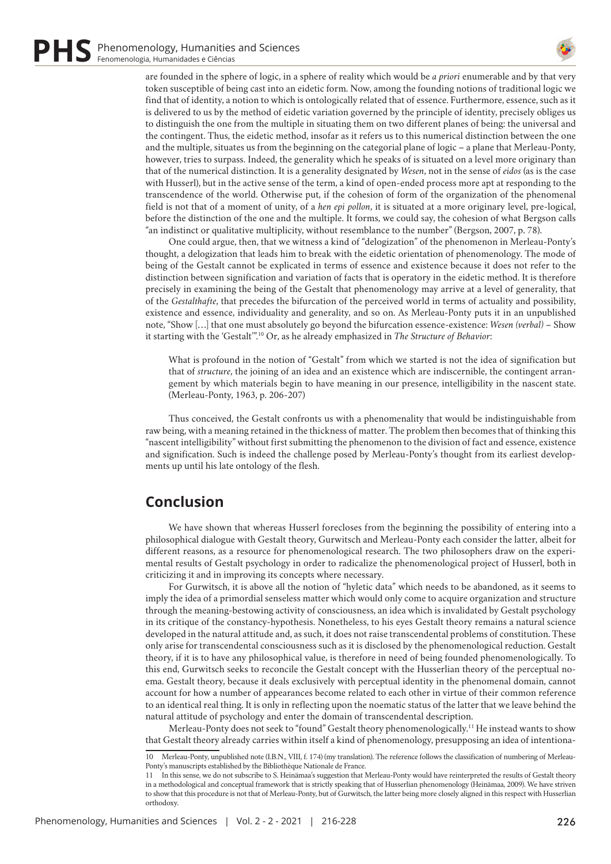

are founded in the sphere of logic, in a sphere of reality which would be *a priori* enumerable and by that very token susceptible of being cast into an eidetic form. Now, among the founding notions of traditional logic we find that of identity, a notion to which is ontologically related that of essence. Furthermore, essence, such as it is delivered to us by the method of eidetic variation governed by the principle of identity, precisely obliges us to distinguish the one from the multiple in situating them on two different planes of being: the universal and the contingent. Thus, the eidetic method, insofar as it refers us to this numerical distinction between the one and the multiple, situates us from the beginning on the categorial plane of logic – a plane that Merleau-Ponty, however, tries to surpass. Indeed, the generality which he speaks of is situated on a level more originary than that of the numerical distinction. It is a generality designated by *Wesen*, not in the sense of *eidos* (as is the case with Husserl), but in the active sense of the term, a kind of open-ended process more apt at responding to the transcendence of the world. Otherwise put, if the cohesion of form of the organization of the phenomenal field is not that of a moment of unity, of a *hen epi pollon*, it is situated at a more originary level, pre-logical, before the distinction of the one and the multiple. It forms, we could say, the cohesion of what Bergson calls "an indistinct or qualitative multiplicity, without resemblance to the number" (Bergson, 2007, p. 78).

One could argue, then, that we witness a kind of "delogization" of the phenomenon in Merleau-Ponty's thought, a delogization that leads him to break with the eidetic orientation of phenomenology. The mode of being of the Gestalt cannot be explicated in terms of essence and existence because it does not refer to the distinction between signification and variation of facts that is operatory in the eidetic method. It is therefore precisely in examining the being of the Gestalt that phenomenology may arrive at a level of generality, that of the *Gestalthafte*, that precedes the bifurcation of the perceived world in terms of actuality and possibility, existence and essence, individuality and generality, and so on. As Merleau-Ponty puts it in an unpublished note, "Show […] that one must absolutely go beyond the bifurcation essence-existence: *Wesen (verbal)* – Show it starting with the 'Gestalt'".10 Or, as he already emphasized in *The Structure of Behavior*:

What is profound in the notion of "Gestalt" from which we started is not the idea of signification but that of *structure*, the joining of an idea and an existence which are indiscernible, the contingent arrangement by which materials begin to have meaning in our presence, intelligibility in the nascent state. (Merleau-Ponty, 1963, p. 206-207)

Thus conceived, the Gestalt confronts us with a phenomenality that would be indistinguishable from raw being, with a meaning retained in the thickness of matter. The problem then becomes that of thinking this "nascent intelligibility" without first submitting the phenomenon to the division of fact and essence, existence and signification. Such is indeed the challenge posed by Merleau-Ponty's thought from its earliest developments up until his late ontology of the flesh.

# **Conclusion**

We have shown that whereas Husserl forecloses from the beginning the possibility of entering into a philosophical dialogue with Gestalt theory, Gurwitsch and Merleau-Ponty each consider the latter, albeit for different reasons, as a resource for phenomenological research. The two philosophers draw on the experimental results of Gestalt psychology in order to radicalize the phenomenological project of Husserl, both in criticizing it and in improving its concepts where necessary.

For Gurwitsch, it is above all the notion of "hyletic data" which needs to be abandoned, as it seems to imply the idea of a primordial senseless matter which would only come to acquire organization and structure through the meaning-bestowing activity of consciousness, an idea which is invalidated by Gestalt psychology in its critique of the constancy-hypothesis. Nonetheless, to his eyes Gestalt theory remains a natural science developed in the natural attitude and, as such, it does not raise transcendental problems of constitution. These only arise for transcendental consciousness such as it is disclosed by the phenomenological reduction. Gestalt theory, if it is to have any philosophical value, is therefore in need of being founded phenomenologically. To this end, Gurwitsch seeks to reconcile the Gestalt concept with the Husserlian theory of the perceptual noema. Gestalt theory, because it deals exclusively with perceptual identity in the phenomenal domain, cannot account for how a number of appearances become related to each other in virtue of their common reference to an identical real thing. It is only in reflecting upon the noematic status of the latter that we leave behind the natural attitude of psychology and enter the domain of transcendental description.

Merleau-Ponty does not seek to "found" Gestalt theory phenomenologically.<sup>11</sup> He instead wants to show that Gestalt theory already carries within itself a kind of phenomenology, presupposing an idea of intentiona-

<sup>10</sup> Merleau-Ponty, unpublished note (I.B.N., VIII, f. 174) (my translation). The reference follows the classification of numbering of Merleau-Ponty's manuscripts established by the Bibliothèque Nationale de France.

<sup>11</sup> In this sense, we do not subscribe to S. Heinämaa's suggestion that Merleau-Ponty would have reinterpreted the results of Gestalt theory in a methodological and conceptual framework that is strictly speaking that of Husserlian phenomenology (Heinämaa, 2009). We have striven to show that this procedure is not that of Merleau-Ponty, but of Gurwitsch, the latter being more closely aligned in this respect with Husserlian orthodoxy.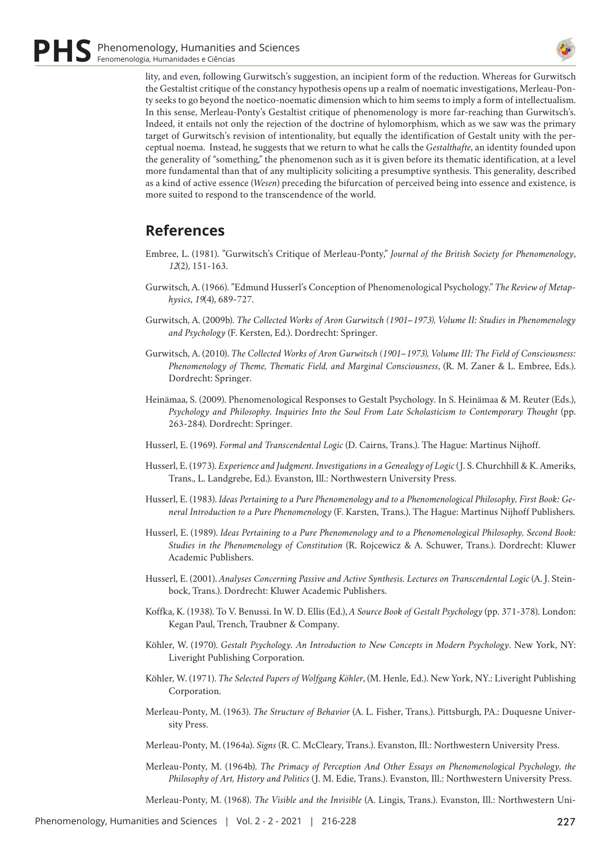

lity, and even, following Gurwitsch's suggestion, an incipient form of the reduction. Whereas for Gurwitsch the Gestaltist critique of the constancy hypothesis opens up a realm of noematic investigations, Merleau-Ponty seeks to go beyond the noetico-noematic dimension which to him seems to imply a form of intellectualism. In this sense, Merleau-Ponty's Gestaltist critique of phenomenology is more far-reaching than Gurwitsch's. Indeed, it entails not only the rejection of the doctrine of hylomorphism, which as we saw was the primary target of Gurwitsch's revision of intentionality, but equally the identification of Gestalt unity with the perceptual noema. Instead, he suggests that we return to what he calls the *Gestalthafte*, an identity founded upon the generality of "something," the phenomenon such as it is given before its thematic identification, at a level more fundamental than that of any multiplicity soliciting a presumptive synthesis. This generality, described as a kind of active essence (*Wesen*) preceding the bifurcation of perceived being into essence and existence, is more suited to respond to the transcendence of the world.

# **References**

- Embree, L. (1981). "Gurwitsch's Critique of Merleau-Ponty," *Journal of the British Society for Phenomenology*, *12*(2), 151-163.
- Gurwitsch, A. (1966). "Edmund Husserl's Conception of Phenomenological Psychology." *The Review of Metaphysics*, *19*(4), 689-727.
- Gurwitsch, A. (2009b). *The Collected Works of Aron Gurwitsch (1901–1973), Volume II: Studies in Phenomenology and Psychology* (F. Kersten, Ed.). Dordrecht: Springer.
- Gurwitsch, A. (2010). *The Collected Works of Aron Gurwitsch (1901–1973), Volume III: The Field of Consciousness: Phenomenology of Theme, Thematic Field, and Marginal Consciousness*, (R. M. Zaner & L. Embree, Eds.). Dordrecht: Springer.
- Heinämaa, S. (2009). Phenomenological Responses to Gestalt Psychology. In S. Heinämaa & M. Reuter (Eds.), *Psychology and Philosophy. Inquiries Into the Soul From Late Scholasticism to Contemporary Thought* (pp. 263-284). Dordrecht: Springer.
- Husserl, E. (1969). *Formal and Transcendental Logic* (D. Cairns, Trans.). The Hague: Martinus Nijhoff.
- Husserl, E. (1973). *Experience and Judgment. Investigations in a Genealogy of Logic* (J. S. Churchhill & K. Ameriks, Trans., L. Landgrebe, Ed.). Evanston, Ill.: Northwestern University Press.
- Husserl, E. (1983). *Ideas Pertaining to a Pure Phenomenology and to a Phenomenological Philosophy, First Book: General Introduction to a Pure Phenomenology* (F. Karsten, Trans.). The Hague: Martinus Nijhoff Publishers.
- Husserl, E. (1989). *Ideas Pertaining to a Pure Phenomenology and to a Phenomenological Philosophy, Second Book: Studies in the Phenomenology of Constitution* (R. Rojcewicz & A. Schuwer, Trans.). Dordrecht: Kluwer Academic Publishers.
- Husserl, E. (2001). *Analyses Concerning Passive and Active Synthesis. Lectures on Transcendental Logic* (A. J. Steinbock, Trans.). Dordrecht: Kluwer Academic Publishers.
- Koffka, K. (1938). To V. Benussi. In W. D. Ellis (Ed.), *A Source Book of Gestalt Psychology* (pp. 371-378). London: Kegan Paul, Trench, Traubner & Company.
- Köhler, W. (1970). *Gestalt Psychology. An Introduction to New Concepts in Modern Psychology*. New York, NY: Liveright Publishing Corporation.
- Köhler, W. (1971). *The Selected Papers of Wolfgang Köhler*, (M. Henle, Ed.). New York, NY.: Liveright Publishing Corporation.
- Merleau-Ponty, M. (1963). *The Structure of Behavior* (A. L. Fisher, Trans.). Pittsburgh, PA.: Duquesne University Press.
- Merleau-Ponty, M. (1964a). *Signs* (R. C. McCleary, Trans.). Evanston, Ill.: Northwestern University Press.
- Merleau-Ponty, M. (1964b). *The Primacy of Perception And Other Essays on Phenomenological Psychology, the Philosophy of Art, History and Politics* (J. M. Edie, Trans.). Evanston, Ill.: Northwestern University Press.

Merleau-Ponty, M. (1968). *The Visible and the Invisible* (A. Lingis, Trans.). Evanston, Ill.: Northwestern Uni-